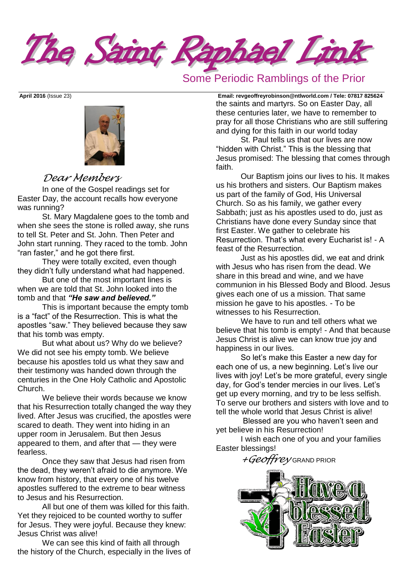The Saint Raphael Link

## Some Periodic Ramblings of the Prior



## *Dear Members*

In one of the Gospel readings set for Easter Day, the account recalls how everyone was running?

St. Mary Magdalene goes to the tomb and when she sees the stone is rolled away, she runs to tell St. Peter and St. John. Then Peter and John start running. They raced to the tomb. John "ran faster," and he got there first.

They were totally excited, even though they didn't fully understand what had happened.

But one of the most important lines is when we are told that St. John looked into the tomb and that *"He saw and believed."*

This is important because the empty tomb is a "fact" of the Resurrection. This is what the apostles "saw." They believed because they saw that his tomb was empty.

But what about us? Why do we believe? We did not see his empty tomb. We believe because his apostles told us what they saw and their testimony was handed down through the centuries in the One Holy Catholic and Apostolic Church.

We believe their words because we know that his Resurrection totally changed the way they lived. After Jesus was crucified, the apostles were scared to death. They went into hiding in an upper room in Jerusalem. But then Jesus appeared to them, and after that — they were fearless.

Once they saw that Jesus had risen from the dead, they weren't afraid to die anymore. We know from history, that every one of his twelve apostles suffered to the extreme to bear witness to Jesus and his Resurrection.

All but one of them was killed for this faith. Yet they rejoiced to be counted worthy to suffer for Jesus. They were joyful. Because they knew: Jesus Christ was alive!

We can see this kind of faith all through the history of the Church, especially in the lives of

**April 2016** (Issue 23) **Email: [revgeoffreyrobinson@ntlworld.com](mailto:revgeoffreyrobinson@ntlworld.com) / Tele: 07817 825624** the saints and martyrs. So on Easter Day, all these centuries later, we have to remember to pray for all those Christians who are still suffering and dying for this faith in our world today

St. Paul tells us that our lives are now "hidden with Christ." This is the blessing that Jesus promised: The blessing that comes through faith.

Our Baptism joins our lives to his. It makes us his brothers and sisters. Our Baptism makes us part of the family of God, His Universal Church. So as his family, we gather every Sabbath; just as his apostles used to do, just as Christians have done every Sunday since that first Easter. We gather to celebrate his Resurrection. That's what every Eucharist is! - A feast of the Resurrection.

Just as his apostles did, we eat and drink with Jesus who has risen from the dead. We share in this bread and wine, and we have communion in his Blessed Body and Blood. Jesus gives each one of us a mission. That same mission he gave to his apostles. - To be witnesses to his Resurrection.

We have to run and tell others what we believe that his tomb is empty! - And that because Jesus Christ is alive we can know true joy and happiness in our lives.

So let's make this Easter a new day for each one of us, a new beginning. Let's live our lives with joy! Let's be more grateful, every single day, for God's tender mercies in our lives. Let's get up every morning, and try to be less selfish. To serve our brothers and sisters with love and to tell the whole world that Jesus Christ is alive!

Blessed are you who haven't seen and yet believe in his Resurrection!

I wish each one of you and your families Easter blessings!

*+Geoffrey* GRAND PRIOR

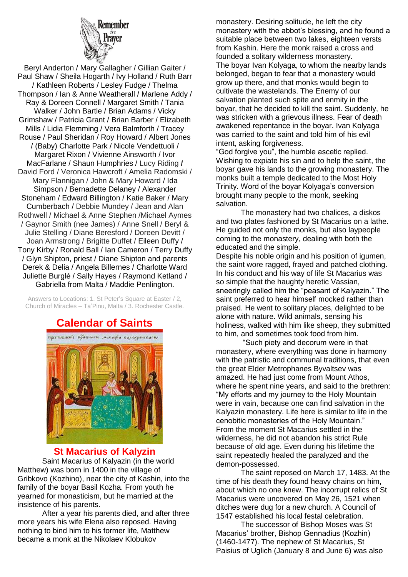

Beryl Anderton / Mary Gallagher / Gillian Gaiter / Paul Shaw / Sheila Hogarth / Ivy Holland / Ruth Barr / Kathleen Roberts / Lesley Fudge / Thelma Thompson / Ian & Anne Weatherall / Marlene Addy / Ray & Doreen Connell / Margaret Smith / Tania Walker / John Bartle / Brian Adams / Vicky Grimshaw / Patricia Grant / Brian Barber / Elizabeth Mills / Lidia Flemming / Vera Balmforth / Tracey Rouse / Paul Sheridan / Roy Howard / Albert Jones / (Baby) Charlotte Park / Nicole Vendettuoli / Margaret Rixon / Vivienne Ainsworth / Ivor MacFarlane / Shaun Humphries / Lucy Riding **/**  David Ford / Veronica Hawcroft / Amelia Radomski / Mary Flannigan / John & Mary Howard / Ida Simpson / Bernadette Delaney / Alexander Stoneham / Edward Billington / Katie Baker / Mary Cumberbach / Debbie Mundey / Jean and Alan Rothwell / Michael & Anne Stephen /Michael Aymes / Gaynor Smith (nee James) / Anne Snell / Beryl & Julie Stelling / Diane Beresford / Doreen Devitt / Joan Armstrong / Brigitte Duffet / Eileen Duffy / Tony Kirby / Ronald Ball / Ian Cameron / Terry Duffy / Glyn Shipton, priest / Diane Shipton and parents Derek & Delia / Angela Billernes / Charlotte Ward Juliette Burglé / Sally Hayes / Raymond Ketland / Gabriella from Malta / Maddie Penlington.

Answers to Locations: 1. St Peter's Square at Easter / 2, Church of Miracles – Ta'Pinu, Malta / 3. Rochester Castle.

# **Calendar of Saints**



### **St Macarius of Kalyzin**

Saint Macarius of Kalyazin (in the world Matthew) was born in 1400 in the village of Gribkovo (Kozhino), near the city of Kashin, into the family of the boyar Basil Kozha. From youth he yearned for monasticism, but he married at the insistence of his parents.

After a year his parents died, and after three more years his wife Elena also reposed. Having nothing to bind him to his former life, Matthew became a monk at the Nikolaev Klobukov

monastery. Desiring solitude, he left the city monastery with the abbot's blessing, and he found a suitable place between two lakes, eighteen versts from Kashin. Here the monk raised a cross and founded a solitary wilderness monastery. The boyar Ivan Kolyaga, to whom the nearby lands belonged, began to fear that a monastery would grow up there, and that monks would begin to cultivate the wastelands. The Enemy of our salvation planted such spite and enmity in the boyar, that he decided to kill the saint. Suddenly, he was stricken with a grievous illness. Fear of death awakened repentance in the boyar. Ivan Kolyaga was carried to the saint and told him of his evil intent, asking forgiveness.

"God forgive you", the humble ascetic replied. Wishing to expiate his sin and to help the saint, the boyar gave his lands to the growing monastery. The monks built a temple dedicated to the Most Holy Trinity. Word of the boyar Kolyaga's conversion brought many people to the monk, seeking salvation.

The monastery had two chalices, a diskos and two plates fashioned by St Macarius on a lathe. He guided not only the monks, but also laypeople coming to the monastery, dealing with both the educated and the simple.

Despite his noble origin and his position of igumen, the saint wore ragged, frayed and patched clothing. In his conduct and his way of life St Macarius was so simple that the haughty heretic Vassian, sneeringly called him the "peasant of Kalyazin." The saint preferred to hear himself mocked rather than praised. He went to solitary places, delighted to be alone with nature. Wild animals, sensing his holiness, walked with him like sheep, they submitted to him, and sometimes took food from him.

"Such piety and decorum were in that monastery, where everything was done in harmony with the patristic and communal traditions, that even the great Elder Metrophanes Byvaltsev was amazed. He had just come from Mount Athos, where he spent nine years, and said to the brethren: "My efforts and my journey to the Holy Mountain were in vain, because one can find salvation in the Kalyazin monastery. Life here is similar to life in the cenobitic monasteries of the Holy Mountain." From the moment St Macarius settled in the wilderness, he did not abandon his strict Rule because of old age. Even during his lifetime the saint repeatedly healed the paralyzed and the demon-possessed.

The saint reposed on March 17, 1483. At the time of his death they found heavy chains on him, about which no one knew. The incorrupt relics of St Macarius were uncovered on May 26, 1521 when ditches were dug for a new church. A Council of 1547 established his local festal celebration.

The successor of Bishop Moses was St Macarius' brother, Bishop Gennadius (Kozhin) (1460-1477). The nephew of St Macarius, St Paisius of Uglich (January 8 and June 6) was also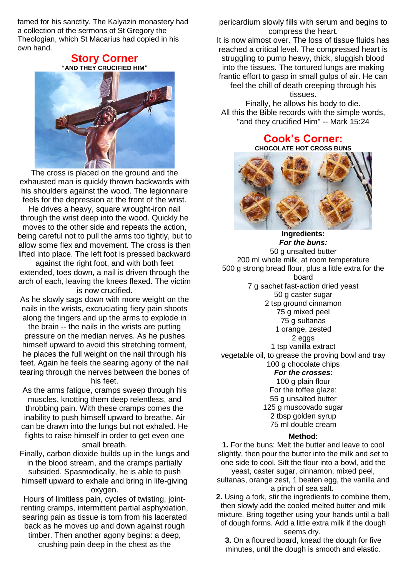famed for his sanctity. The Kalyazin monastery had a collection of the sermons of St Gregory the Theologian, which St Macarius had copied in his own hand.

### **Story Corner "AND THEY CRUCIFIED HIM"**



The cross is placed on the ground and the exhausted man is quickly thrown backwards with his shoulders against the wood. The legionnaire feels for the depression at the front of the wrist.

He drives a heavy, square wrought-iron nail through the wrist deep into the wood. Quickly he moves to the other side and repeats the action, being careful not to pull the arms too tightly, but to allow some flex and movement. The cross is then lifted into place. The left foot is pressed backward

against the right foot, and with both feet extended, toes down, a nail is driven through the arch of each, leaving the knees flexed. The victim is now crucified.

As he slowly sags down with more weight on the nails in the wrists, excruciating fiery pain shoots along the fingers and up the arms to explode in

the brain -- the nails in the wrists are putting pressure on the median nerves. As he pushes himself upward to avoid this stretching torment, he places the full weight on the nail through his feet. Again he feels the searing agony of the nail tearing through the nerves between the bones of his feet.

As the arms fatigue, cramps sweep through his muscles, knotting them deep relentless, and throbbing pain. With these cramps comes the inability to push himself upward to breathe. Air can be drawn into the lungs but not exhaled. He fights to raise himself in order to get even one small breath.

Finally, carbon dioxide builds up in the lungs and in the blood stream, and the cramps partially subsided. Spasmodically, he is able to push himself upward to exhale and bring in life-giving oxygen.

Hours of limitless pain, cycles of twisting, jointrenting cramps, intermittent partial asphyxiation, searing pain as tissue is torn from his lacerated back as he moves up and down against rough timber. Then another agony begins: a deep, crushing pain deep in the chest as the

pericardium slowly fills with serum and begins to compress the heart.

It is now almost over. The loss of tissue fluids has reached a critical level. The compressed heart is struggling to pump heavy, thick, sluggish blood into the tissues. The tortured lungs are making frantic effort to gasp in small gulps of air. He can feel the chill of death creeping through his

tissues.

Finally, he allows his body to die. All this the Bible records with the simple words, "and they crucified Him" -- Mark 15:24

> **Cook's Corner: CHOCOLATE HOT CROSS BUNS**



**Ingredients:** *For the buns:* 50 g unsalted butter 200 ml whole milk, at room temperature 500 g strong bread flour, plus a little extra for the board 7 g sachet fast-action dried yeast 50 g caster sugar 2 tsp ground cinnamon 75 g mixed peel 75 g sultanas 1 orange, zested 2 eggs 1 tsp vanilla extract vegetable oil, to grease the proving bowl and tray 100 g chocolate chips *For the crosses*: 100 g plain flour

For the toffee glaze: 55 g unsalted butter 125 g muscovado sugar 2 tbsp golden syrup 75 ml double cream

### **Method:**

**1.** For the buns: Melt the butter and leave to cool slightly, then pour the butter into the milk and set to one side to cool. Sift the flour into a bowl, add the yeast, caster sugar, cinnamon, mixed peel,

sultanas, orange zest, 1 beaten egg, the vanilla and a pinch of sea salt.

**2.** Using a fork, stir the ingredients to combine them, then slowly add the cooled melted butter and milk mixture. Bring together using your hands until a ball of dough forms. Add a little extra milk if the dough seems dry.

**3.** On a floured board, knead the dough for five minutes, until the dough is smooth and elastic.